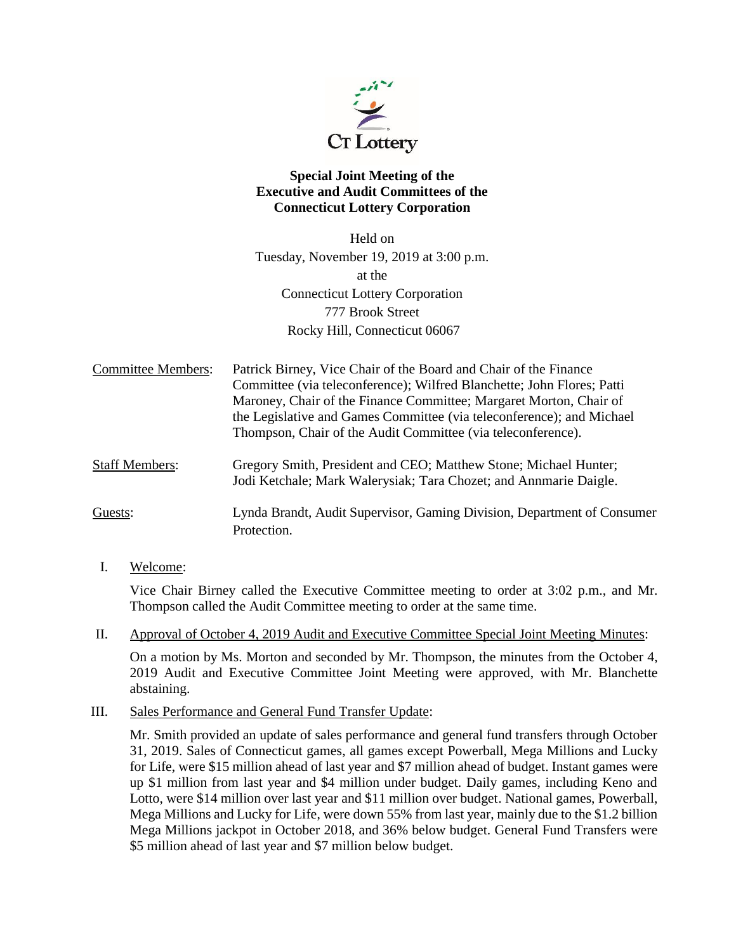

# **Special Joint Meeting of the Executive and Audit Committees of the Connecticut Lottery Corporation**

Held on Tuesday, November 19, 2019 at 3:00 p.m. at the Connecticut Lottery Corporation 777 Brook Street Rocky Hill, Connecticut 06067

Committee Members: Patrick Birney, Vice Chair of the Board and Chair of the Finance Committee (via teleconference); Wilfred Blanchette; John Flores; Patti Maroney, Chair of the Finance Committee; Margaret Morton, Chair of the Legislative and Games Committee (via teleconference); and Michael Thompson, Chair of the Audit Committee (via teleconference).

Staff Members: Gregory Smith, President and CEO; Matthew Stone; Michael Hunter; Jodi Ketchale; Mark Walerysiak; Tara Chozet; and Annmarie Daigle.

Guests: Lynda Brandt, Audit Supervisor, Gaming Division, Department of Consumer Protection.

I. Welcome:

Vice Chair Birney called the Executive Committee meeting to order at 3:02 p.m., and Mr. Thompson called the Audit Committee meeting to order at the same time.

II. Approval of October 4, 2019 Audit and Executive Committee Special Joint Meeting Minutes:

On a motion by Ms. Morton and seconded by Mr. Thompson, the minutes from the October 4, 2019 Audit and Executive Committee Joint Meeting were approved, with Mr. Blanchette abstaining.

III. Sales Performance and General Fund Transfer Update:

Mr. Smith provided an update of sales performance and general fund transfers through October 31, 2019. Sales of Connecticut games, all games except Powerball, Mega Millions and Lucky for Life, were \$15 million ahead of last year and \$7 million ahead of budget. Instant games were up \$1 million from last year and \$4 million under budget. Daily games, including Keno and Lotto, were \$14 million over last year and \$11 million over budget. National games, Powerball, Mega Millions and Lucky for Life, were down 55% from last year, mainly due to the \$1.2 billion Mega Millions jackpot in October 2018, and 36% below budget. General Fund Transfers were \$5 million ahead of last year and \$7 million below budget.